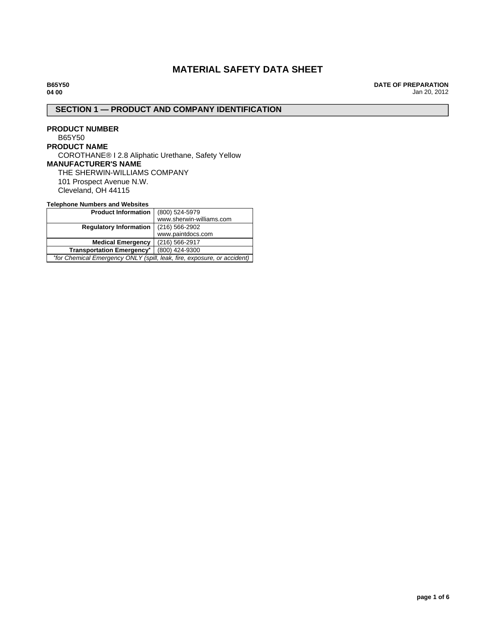# **MATERIAL SAFETY DATA SHEET**

**B65Y50 04 00**

**DATE OF PREPARATION** Jan 20, 2012

# **SECTION 1 — PRODUCT AND COMPANY IDENTIFICATION**

**PRODUCT NUMBER** B65Y50 **PRODUCT NAME** COROTHANE® I 2.8 Aliphatic Urethane, Safety Yellow **MANUFACTURER'S NAME** THE SHERWIN-WILLIAMS COMPANY 101 Prospect Avenue N.W. Cleveland, OH 44115

## **Telephone Numbers and Websites**

| <b>Product Information</b>                                              | (800) 524-5979           |  |
|-------------------------------------------------------------------------|--------------------------|--|
|                                                                         | www.sherwin-williams.com |  |
| <b>Regulatory Information</b>                                           | $(216)$ 566-2902         |  |
|                                                                         | www.paintdocs.com        |  |
| (216) 566-2917<br><b>Medical Emergency</b>                              |                          |  |
| <b>Transportation Emergency*</b>                                        | (800) 424-9300           |  |
| *for Chemical Emergency ONLY (spill, leak, fire, exposure, or accident) |                          |  |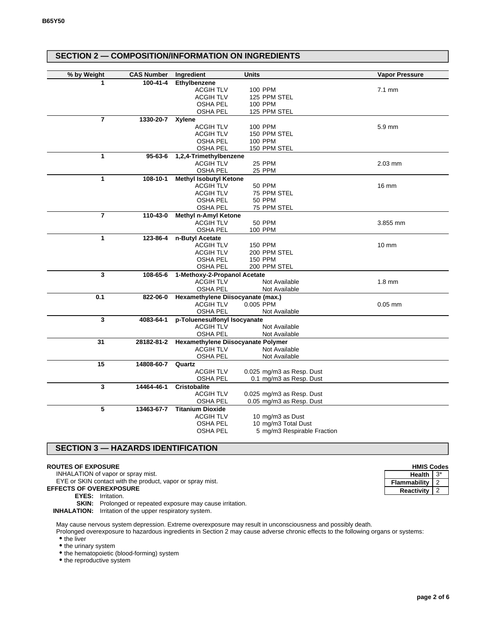| <b>SECTION 2 - COMPOSITION/INFORMATION ON INGREDIENTS</b> |                   |                                           |                             |                       |
|-----------------------------------------------------------|-------------------|-------------------------------------------|-----------------------------|-----------------------|
|                                                           |                   |                                           |                             |                       |
| % by Weight                                               | <b>CAS Number</b> | Ingredient                                | <b>Units</b>                | <b>Vapor Pressure</b> |
| 1                                                         | $100 - 41 - 4$    | <b>Ethylbenzene</b>                       |                             |                       |
|                                                           |                   | <b>ACGIH TLV</b>                          | 100 PPM                     | $7.1 \text{ mm}$      |
|                                                           |                   | <b>ACGIH TLV</b>                          | 125 PPM STEL                |                       |
|                                                           |                   | <b>OSHA PEL</b>                           | 100 PPM                     |                       |
|                                                           |                   | OSHA PEL                                  | 125 PPM STEL                |                       |
| $\overline{7}$                                            | 1330-20-7         | <b>Xylene</b>                             |                             |                       |
|                                                           |                   | <b>ACGIH TLV</b>                          | 100 PPM                     | 5.9 mm                |
|                                                           |                   | <b>ACGIH TLV</b>                          | 150 PPM STEL                |                       |
|                                                           |                   | <b>OSHA PEL</b>                           | 100 PPM                     |                       |
|                                                           |                   | <b>OSHA PEL</b>                           | 150 PPM STEL                |                       |
| 1                                                         | $95 - 63 - 6$     | 1,2,4-Trimethylbenzene                    |                             |                       |
|                                                           |                   | <b>ACGIH TLV</b>                          | <b>25 PPM</b>               | $2.03$ mm             |
|                                                           |                   | <b>OSHA PEL</b>                           | 25 PPM                      |                       |
| 1                                                         | 108-10-1          | <b>Methyl Isobutyl Ketone</b>             |                             |                       |
|                                                           |                   | <b>ACGIH TLV</b>                          | <b>50 PPM</b>               | 16 mm                 |
|                                                           |                   | <b>ACGIH TLV</b>                          | 75 PPM STEL                 |                       |
|                                                           |                   | <b>OSHA PEL</b>                           | <b>50 PPM</b>               |                       |
|                                                           |                   | OSHA PEL                                  | 75 PPM STEL                 |                       |
| $\overline{7}$                                            | 110-43-0          | <b>Methyl n-Amyl Ketone</b>               |                             |                       |
|                                                           |                   | <b>ACGIH TLV</b>                          | <b>50 PPM</b>               | 3.855 mm              |
|                                                           |                   | <b>OSHA PEL</b>                           | <b>100 PPM</b>              |                       |
| 1                                                         | 123-86-4          | n-Butyl Acetate                           |                             |                       |
|                                                           |                   | <b>ACGIH TLV</b>                          | <b>150 PPM</b>              | $10 \text{ mm}$       |
|                                                           |                   | <b>ACGIH TLV</b>                          | 200 PPM STEL                |                       |
|                                                           |                   | <b>OSHA PEL</b>                           | 150 PPM                     |                       |
|                                                           |                   | OSHA PEL                                  | 200 PPM STEL                |                       |
| 3                                                         | 108-65-6          | 1-Methoxy-2-Propanol Acetate              |                             |                       |
|                                                           |                   | <b>ACGIH TLV</b>                          | Not Available               | $1.8 \text{ mm}$      |
|                                                           |                   | OSHA PEL                                  | Not Available               |                       |
| 0.1                                                       | 822-06-0          | Hexamethylene Diisocyanate (max.)         |                             |                       |
|                                                           |                   | <b>ACGIH TLV</b>                          | 0.005 PPM                   | $0.05$ mm             |
|                                                           |                   | <b>OSHA PEL</b>                           | Not Available               |                       |
| 3                                                         | 4083-64-1         | p-Toluenesulfonyl Isocyanate              |                             |                       |
|                                                           |                   | <b>ACGIH TLV</b>                          | Not Available               |                       |
|                                                           |                   | <b>OSHA PEL</b>                           | Not Available               |                       |
| 31                                                        | 28182-81-2        | <b>Hexamethylene Diisocyanate Polymer</b> |                             |                       |
|                                                           |                   | <b>ACGIH TLV</b>                          | Not Available               |                       |
|                                                           |                   | <b>OSHA PEL</b>                           | Not Available               |                       |
| 15                                                        | 14808-60-7        | Quartz                                    |                             |                       |
|                                                           |                   | <b>ACGIH TLV</b>                          | 0.025 mg/m3 as Resp. Dust   |                       |
|                                                           |                   | <b>OSHA PEL</b>                           | 0.1 mg/m3 as Resp. Dust     |                       |
| 3                                                         | 14464-46-1        | <b>Cristobalite</b>                       |                             |                       |
|                                                           |                   | <b>ACGIH TLV</b>                          | 0.025 mg/m3 as Resp. Dust   |                       |
|                                                           |                   | OSHA PEL                                  | 0.05 mg/m3 as Resp. Dust    |                       |
| 5                                                         | 13463-67-7        | <b>Titanium Dioxide</b>                   |                             |                       |
|                                                           |                   | <b>ACGIH TLV</b>                          | 10 mg/m3 as Dust            |                       |
|                                                           |                   | <b>OSHA PEL</b>                           | 10 mg/m3 Total Dust         |                       |
|                                                           |                   | OSHA PEL                                  | 5 mg/m3 Respirable Fraction |                       |
|                                                           |                   |                                           |                             |                       |

# **SECTION 3 — HAZARDS IDENTIFICATION**

### **ROUTES OF EXPOSURE**

INHALATION of vapor or spray mist.

EYE or SKIN contact with the product, vapor or spray mist.

**EFFECTS OF OVEREXPOSURE**

**EYES:** Irritation.

**SKIN:** Prolonged or repeated exposure may cause irritation.

**INHALATION:** Irritation of the upper respiratory system.

May cause nervous system depression. Extreme overexposure may result in unconsciousness and possibly death.

Prolonged overexposure to hazardous ingredients in Section 2 may cause adverse chronic effects to the following organs or systems:

• the liver

 $\bullet$  the urinary system

• the hematopoietic (blood-forming) system

• the reproductive system

| <b>HMIS Codes</b>   |       |  |
|---------------------|-------|--|
| <b>Health</b>       | $3^*$ |  |
| <b>Flammability</b> |       |  |
| Reactivity          |       |  |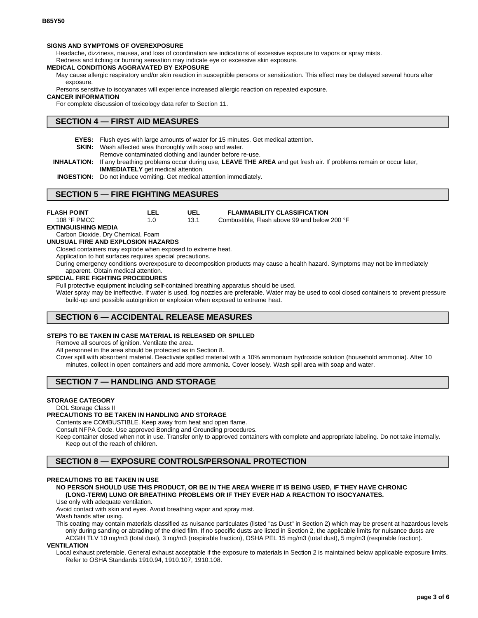#### **SIGNS AND SYMPTOMS OF OVEREXPOSURE**

Headache, dizziness, nausea, and loss of coordination are indications of excessive exposure to vapors or spray mists.

Redness and itching or burning sensation may indicate eye or excessive skin exposure.

## **MEDICAL CONDITIONS AGGRAVATED BY EXPOSURE**

May cause allergic respiratory and/or skin reaction in susceptible persons or sensitization. This effect may be delayed several hours after exposure.

Persons sensitive to isocyanates will experience increased allergic reaction on repeated exposure.

#### **CANCER INFORMATION**

For complete discussion of toxicology data refer to Section 11.

## **SECTION 4 — FIRST AID MEASURES**

**EYES:** Flush eyes with large amounts of water for 15 minutes. Get medical attention.

**SKIN:** Wash affected area thoroughly with soap and water.

Remove contaminated clothing and launder before re-use.

**INHALATION:** If any breathing problems occur during use, **LEAVE THE AREA** and get fresh air. If problems remain or occur later, **IMMEDIATELY** get medical attention.

**INGESTION:** Do not induce vomiting. Get medical attention immediately.

# **SECTION 5 — FIRE FIGHTING MEASURES**

| <b>FLASH POINT</b> | LEL | UEL  | <b>FLAMMABILITY CLASSIFICATION</b>    |
|--------------------|-----|------|---------------------------------------|
| 108 °F PMCC        |     | 13.1 | Combustible. Flash above 99 and below |

Combustible, Flash above 99 and below 200 °F

**EXTINGUISHING MEDIA**

# Carbon Dioxide, Dry Chemical, Foam

**UNUSUAL FIRE AND EXPLOSION HAZARDS**

Closed containers may explode when exposed to extreme heat.

Application to hot surfaces requires special precautions.

During emergency conditions overexposure to decomposition products may cause a health hazard. Symptoms may not be immediately apparent. Obtain medical attention.

#### **SPECIAL FIRE FIGHTING PROCEDURES**

Full protective equipment including self-contained breathing apparatus should be used.

Water spray may be ineffective. If water is used, fog nozzles are preferable. Water may be used to cool closed containers to prevent pressure build-up and possible autoignition or explosion when exposed to extreme heat.

## **SECTION 6 — ACCIDENTAL RELEASE MEASURES**

#### **STEPS TO BE TAKEN IN CASE MATERIAL IS RELEASED OR SPILLED**

Remove all sources of ignition. Ventilate the area.

All personnel in the area should be protected as in Section 8.

Cover spill with absorbent material. Deactivate spilled material with a 10% ammonium hydroxide solution (household ammonia). After 10 minutes, collect in open containers and add more ammonia. Cover loosely. Wash spill area with soap and water.

# **SECTION 7 — HANDLING AND STORAGE**

### **STORAGE CATEGORY**

#### DOL Storage Class II

## **PRECAUTIONS TO BE TAKEN IN HANDLING AND STORAGE**

Contents are COMBUSTIBLE. Keep away from heat and open flame.

Consult NFPA Code. Use approved Bonding and Grounding procedures.

Keep container closed when not in use. Transfer only to approved containers with complete and appropriate labeling. Do not take internally. Keep out of the reach of children.

# **SECTION 8 — EXPOSURE CONTROLS/PERSONAL PROTECTION**

## **PRECAUTIONS TO BE TAKEN IN USE**

### **NO PERSON SHOULD USE THIS PRODUCT, OR BE IN THE AREA WHERE IT IS BEING USED, IF THEY HAVE CHRONIC (LONG-TERM) LUNG OR BREATHING PROBLEMS OR IF THEY EVER HAD A REACTION TO ISOCYANATES.**

#### Use only with adequate ventilation.

Avoid contact with skin and eyes. Avoid breathing vapor and spray mist.

Wash hands after using.

This coating may contain materials classified as nuisance particulates (listed "as Dust" in Section 2) which may be present at hazardous levels only during sanding or abrading of the dried film. If no specific dusts are listed in Section 2, the applicable limits for nuisance dusts are ACGIH TLV 10 mg/m3 (total dust), 3 mg/m3 (respirable fraction), OSHA PEL 15 mg/m3 (total dust), 5 mg/m3 (respirable fraction).

#### **VENTILATION**

Local exhaust preferable. General exhaust acceptable if the exposure to materials in Section 2 is maintained below applicable exposure limits. Refer to OSHA Standards 1910.94, 1910.107, 1910.108.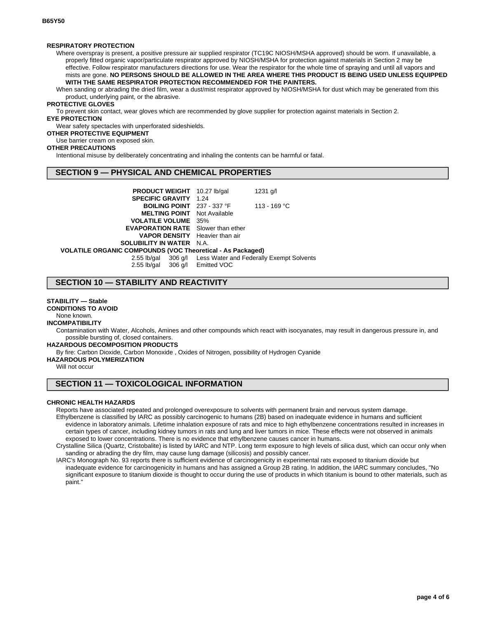#### **RESPIRATORY PROTECTION**

Where overspray is present, a positive pressure air supplied respirator (TC19C NIOSH/MSHA approved) should be worn. If unavailable, a properly fitted organic vapor/particulate respirator approved by NIOSH/MSHA for protection against materials in Section 2 may be effective. Follow respirator manufacturers directions for use. Wear the respirator for the whole time of spraying and until all vapors and mists are gone. **NO PERSONS SHOULD BE ALLOWED IN THE AREA WHERE THIS PRODUCT IS BEING USED UNLESS EQUIPPED WITH THE SAME RESPIRATOR PROTECTION RECOMMENDED FOR THE PAINTERS.**

When sanding or abrading the dried film, wear a dust/mist respirator approved by NIOSH/MSHA for dust which may be generated from this product, underlying paint, or the abrasive.

### **PROTECTIVE GLOVES**

To prevent skin contact, wear gloves which are recommended by glove supplier for protection against materials in Section 2. **EYE PROTECTION**

Wear safety spectacles with unperforated sideshields.

#### **OTHER PROTECTIVE EQUIPMENT**

Use barrier cream on exposed skin.

### **OTHER PRECAUTIONS**

Intentional misuse by deliberately concentrating and inhaling the contents can be harmful or fatal.

## **SECTION 9 — PHYSICAL AND CHEMICAL PROPERTIES**

| PRODUCT WEIGHT 10.27 lb/gal                                | 1231 $q/l$                                                   |
|------------------------------------------------------------|--------------------------------------------------------------|
| <b>SPECIFIC GRAVITY 1.24</b>                               |                                                              |
| <b>BOILING POINT</b> $237 - 337$ °F                        | 113 - 169 °C                                                 |
| <b>MELTING POINT</b> Not Available                         |                                                              |
| <b>VOLATILE VOLUME</b> 35%                                 |                                                              |
| <b>EVAPORATION RATE</b> Slower than ether                  |                                                              |
| <b>VAPOR DENSITY</b> Heavier than air                      |                                                              |
| <b>SOLUBILITY IN WATER N.A.</b>                            |                                                              |
| VOLATILE ORGANIC COMPOUNDS (VOC Theoretical - As Packaged) |                                                              |
|                                                            | 2.55 lb/gal 306 g/l Less Water and Federally Exempt Solvents |
|                                                            |                                                              |

2.55 lb/gal 306 g/l Emitted VOC

## **SECTION 10 — STABILITY AND REACTIVITY**

#### **STABILITY — Stable**

**CONDITIONS TO AVOID**

None known.

#### **INCOMPATIBILITY**

Contamination with Water, Alcohols, Amines and other compounds which react with isocyanates, may result in dangerous pressure in, and possible bursting of, closed containers.

**HAZARDOUS DECOMPOSITION PRODUCTS**

By fire: Carbon Dioxide, Carbon Monoxide , Oxides of Nitrogen, possibility of Hydrogen Cyanide

**HAZARDOUS POLYMERIZATION**

Will not occur

# **SECTION 11 — TOXICOLOGICAL INFORMATION**

### **CHRONIC HEALTH HAZARDS**

Reports have associated repeated and prolonged overexposure to solvents with permanent brain and nervous system damage. Ethylbenzene is classified by IARC as possibly carcinogenic to humans (2B) based on inadequate evidence in humans and sufficient evidence in laboratory animals. Lifetime inhalation exposure of rats and mice to high ethylbenzene concentrations resulted in increases in certain types of cancer, including kidney tumors in rats and lung and liver tumors in mice. These effects were not observed in animals exposed to lower concentrations. There is no evidence that ethylbenzene causes cancer in humans.

Crystalline Silica (Quartz, Cristobalite) is listed by IARC and NTP. Long term exposure to high levels of silica dust, which can occur only when sanding or abrading the dry film, may cause lung damage (silicosis) and possibly cancer.

IARC's Monograph No. 93 reports there is sufficient evidence of carcinogenicity in experimental rats exposed to titanium dioxide but inadequate evidence for carcinogenicity in humans and has assigned a Group 2B rating. In addition, the IARC summary concludes, "No significant exposure to titanium dioxide is thought to occur during the use of products in which titanium is bound to other materials, such as paint."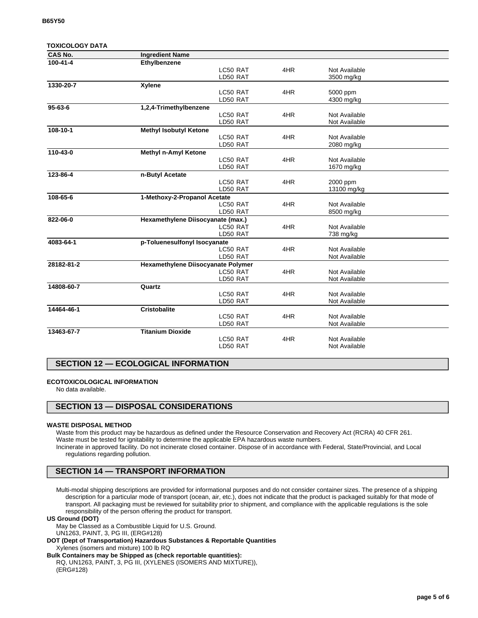| <b>TOXICOLOGY DATA</b> |                                    |     |               |  |
|------------------------|------------------------------------|-----|---------------|--|
| <b>CAS No.</b>         | <b>Ingredient Name</b>             |     |               |  |
| $100 - 41 - 4$         | Ethylbenzene                       |     |               |  |
|                        | LC50 RAT                           | 4HR | Not Available |  |
|                        | LD50 RAT                           |     | 3500 mg/kg    |  |
| 1330-20-7              | Xylene                             |     |               |  |
|                        | LC50 RAT                           | 4HR | 5000 ppm      |  |
|                        | LD50 RAT                           |     | 4300 mg/kg    |  |
| $95 - 63 - 6$          | 1,2,4-Trimethylbenzene             |     |               |  |
|                        | LC50 RAT                           | 4HR | Not Available |  |
|                        | LD50 RAT                           |     | Not Available |  |
| 108-10-1               | <b>Methyl Isobutyl Ketone</b>      |     |               |  |
|                        | LC50 RAT                           | 4HR | Not Available |  |
|                        | LD50 RAT                           |     | 2080 mg/kg    |  |
| 110-43-0               | <b>Methyl n-Amyl Ketone</b>        |     |               |  |
|                        | LC50 RAT                           | 4HR | Not Available |  |
|                        | LD50 RAT                           |     | 1670 mg/kg    |  |
| 123-86-4               | n-Butyl Acetate                    |     |               |  |
|                        | LC50 RAT                           | 4HR | 2000 ppm      |  |
|                        | LD50 RAT                           |     | 13100 mg/kg   |  |
| 108-65-6               | 1-Methoxy-2-Propanol Acetate       |     |               |  |
|                        | LC50 RAT                           | 4HR | Not Available |  |
|                        | LD50 RAT                           |     | 8500 mg/kg    |  |
| 822-06-0               | Hexamethylene Diisocyanate (max.)  |     |               |  |
|                        | LC50 RAT                           | 4HR | Not Available |  |
|                        | LD50 RAT                           |     | 738 mg/kg     |  |
| 4083-64-1              | p-Toluenesulfonyl Isocyanate       |     |               |  |
|                        | LC50 RAT                           | 4HR | Not Available |  |
|                        | LD50 RAT                           |     | Not Available |  |
| 28182-81-2             | Hexamethylene Diisocyanate Polymer |     |               |  |
|                        | LC50 RAT                           | 4HR | Not Available |  |
|                        | LD50 RAT                           |     | Not Available |  |
| 14808-60-7             | Quartz                             |     |               |  |
|                        | LC50 RAT                           | 4HR | Not Available |  |
|                        | LD50 RAT                           |     | Not Available |  |
| 14464-46-1             | <b>Cristobalite</b>                |     |               |  |
|                        | LC50 RAT                           | 4HR | Not Available |  |
|                        | LD50 RAT                           |     | Not Available |  |
| 13463-67-7             | <b>Titanium Dioxide</b>            |     |               |  |
|                        | LC50 RAT                           | 4HR | Not Available |  |
|                        | LD50 RAT                           |     | Not Available |  |
|                        |                                    |     |               |  |

# **SECTION 12 — ECOLOGICAL INFORMATION**

### **ECOTOXICOLOGICAL INFORMATION**

No data available.

## **SECTION 13 — DISPOSAL CONSIDERATIONS**

### **WASTE DISPOSAL METHOD**

Waste from this product may be hazardous as defined under the Resource Conservation and Recovery Act (RCRA) 40 CFR 261. Waste must be tested for ignitability to determine the applicable EPA hazardous waste numbers. Incinerate in approved facility. Do not incinerate closed container. Dispose of in accordance with Federal, State/Provincial, and Local regulations regarding pollution.

# **SECTION 14 — TRANSPORT INFORMATION**

Multi-modal shipping descriptions are provided for informational purposes and do not consider container sizes. The presence of a shipping description for a particular mode of transport (ocean, air, etc.), does not indicate that the product is packaged suitably for that mode of transport. All packaging must be reviewed for suitability prior to shipment, and compliance with the applicable regulations is the sole responsibility of the person offering the product for transport.

#### **US Ground (DOT)**

May be Classed as a Combustible Liquid for U.S. Ground.

UN1263, PAINT, 3, PG III, (ERG#128)

**DOT (Dept of Transportation) Hazardous Substances & Reportable Quantities** Xylenes (isomers and mixture) 100 lb RQ

**Bulk Containers may be Shipped as (check reportable quantities):**

RQ, UN1263, PAINT, 3, PG III, (XYLENES (ISOMERS AND MIXTURE)), (ERG#128)